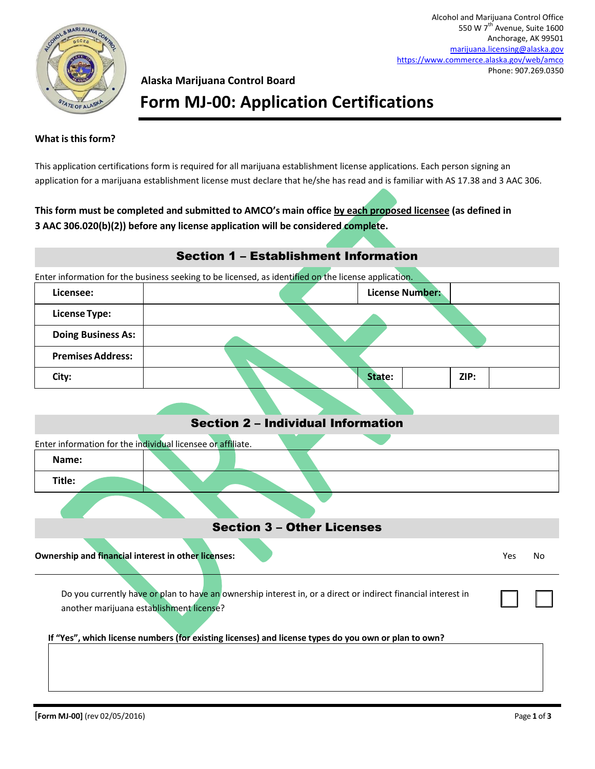

Alcohol and Marijuana Control Office 550 W 7<sup>th</sup> Avenue, Suite 1600 Anchorage, AK 99501 [marijuana.licensing@alaska.gov](mailto:marijuana.licensing@alaska.gov) <https://www.commerce.alaska.gov/web/amco> Phone: 907.269.0350

### **Alaska Marijuana Control Board**

## **Form MJ-00: Application Certifications**

#### **What is this form?**

This application certifications form is required for all marijuana establishment license applications. Each person signing an application for a marijuana establishment license must declare that he/she has read and is familiar with AS 17.38 and 3 AAC 306.

### **This form must be completed and submitted to AMCO's main office by each proposed licensee (as defined in 3 AAC 306.020(b)(2)) before any license application will be considered complete.**

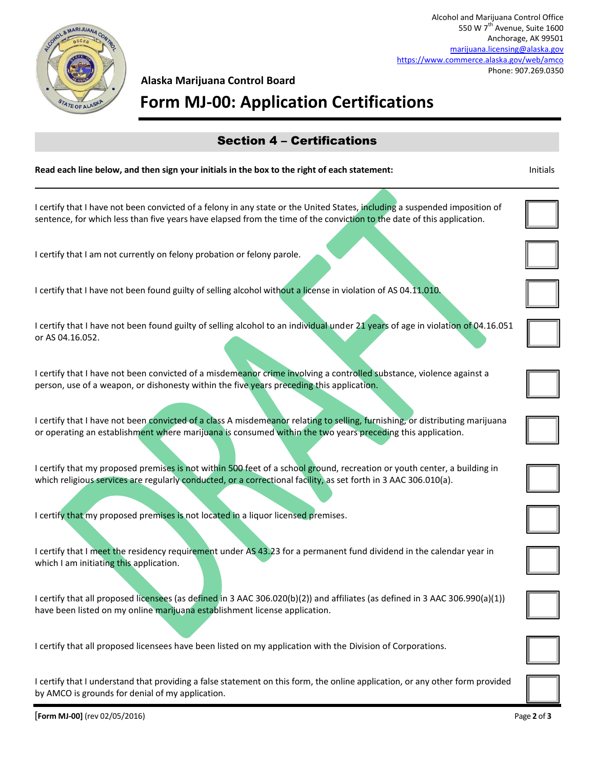

# **Alaska Marijuana Control Board**

## **Form MJ-00: Application Certifications**

| <b>Section 4 - Certifications</b>                                                                                                                                                                                                                     |          |
|-------------------------------------------------------------------------------------------------------------------------------------------------------------------------------------------------------------------------------------------------------|----------|
| Read each line below, and then sign your initials in the box to the right of each statement:                                                                                                                                                          | Initials |
| I certify that I have not been convicted of a felony in any state or the United States, including a suspended imposition of<br>sentence, for which less than five years have elapsed from the time of the conviction to the date of this application. |          |
| I certify that I am not currently on felony probation or felony parole.                                                                                                                                                                               |          |
| I certify that I have not been found guilty of selling alcohol without a license in violation of AS 04.11.010.                                                                                                                                        |          |
| I certify that I have not been found guilty of selling alcohol to an individual under 21 years of age in violation of 04.16.051<br>or AS 04.16.052.                                                                                                   |          |
| I certify that I have not been convicted of a misdemeanor crime involving a controlled substance, violence against a<br>person, use of a weapon, or dishonesty within the five years preceding this application.                                      |          |
| I certify that I have not been convicted of a class A misdemeanor relating to selling, furnishing, or distributing marijuana<br>or operating an establishment where marijuana is consumed within the two years preceding this application.            |          |
| I certify that my proposed premises is not within 500 feet of a school ground, recreation or youth center, a building in<br>which religious services are regularly conducted, or a correctional facility, as set forth in 3 AAC 306.010(a).           |          |
| I certify that my proposed premises is not located in a liquor licensed premises.                                                                                                                                                                     |          |
| I certify that I meet the residency requirement under AS 43.23 for a permanent fund dividend in the calendar year in<br>which I am initiating this application.                                                                                       |          |
| I certify that all proposed licensees (as defined in 3 AAC 306.020(b)(2)) and affiliates (as defined in 3 AAC 306.990(a)(1))<br>have been listed on my online marijuana establishment license application.                                            |          |
| I certify that all proposed licensees have been listed on my application with the Division of Corporations.                                                                                                                                           |          |
| I certify that I understand that providing a false statement on this form, the online application, or any other form provided<br>by AMCO is grounds for denial of my application.                                                                     |          |